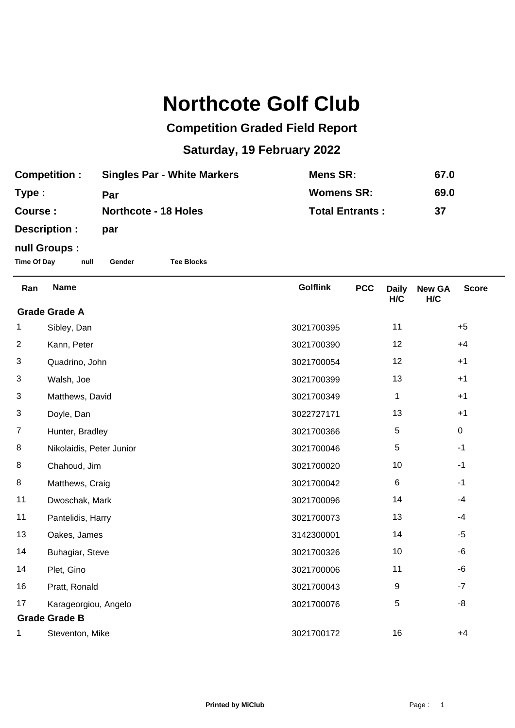## **Northcote Golf Club**

## **Competition Graded Field Report**

## **Saturday, 19 February 2022**

| <b>Competition:</b> | <b>Singles Par - White Markers</b> | Mens SR:               | 67.0 |
|---------------------|------------------------------------|------------------------|------|
| Type :              | Par                                | <b>Womens SR:</b>      | 69.0 |
| Course :            | <b>Northcote - 18 Holes</b>        | <b>Total Entrants:</b> | 37   |
| Description :       | par                                |                        |      |

## **null Groups :**

**Time Of Day null Gender Tee Blocks**

| Ran                  | <b>Name</b>              | <b>Golflink</b> | <b>PCC</b> | <b>Daily</b><br>H/C | <b>New GA</b><br>H/C | <b>Score</b> |
|----------------------|--------------------------|-----------------|------------|---------------------|----------------------|--------------|
| <b>Grade Grade A</b> |                          |                 |            |                     |                      |              |
| 1                    | Sibley, Dan              | 3021700395      |            | 11                  |                      | $+5$         |
| $\overline{2}$       | Kann, Peter              | 3021700390      |            | 12                  |                      | $+4$         |
| 3                    | Quadrino, John           | 3021700054      |            | 12                  |                      | $+1$         |
| 3                    | Walsh, Joe               | 3021700399      |            | 13                  |                      | $+1$         |
| 3                    | Matthews, David          | 3021700349      |            | 1                   |                      | $+1$         |
| 3                    | Doyle, Dan               | 3022727171      |            | 13                  |                      | $+1$         |
| 7                    | Hunter, Bradley          | 3021700366      |            | 5                   |                      | $\mathbf 0$  |
| 8                    | Nikolaidis, Peter Junior | 3021700046      |            | 5                   |                      | $-1$         |
| 8                    | Chahoud, Jim             | 3021700020      |            | 10                  |                      | $-1$         |
| 8                    | Matthews, Craig          | 3021700042      |            | 6                   |                      | $-1$         |
| 11                   | Dwoschak, Mark           | 3021700096      |            | 14                  |                      | $-4$         |
| 11                   | Pantelidis, Harry        | 3021700073      |            | 13                  |                      | $-4$         |
| 13                   | Oakes, James             | 3142300001      |            | 14                  |                      | $-5$         |
| 14                   | Buhagiar, Steve          | 3021700326      |            | 10                  |                      | -6           |
| 14                   | Plet, Gino               | 3021700006      |            | 11                  |                      | $-6$         |
| 16                   | Pratt, Ronald            | 3021700043      |            | 9                   |                      | $-7$         |
| 17                   | Karageorgiou, Angelo     | 3021700076      |            | 5                   |                      | -8           |
| <b>Grade Grade B</b> |                          |                 |            |                     |                      |              |
|                      | Steventon, Mike          | 3021700172      |            | 16                  |                      | $+4$         |